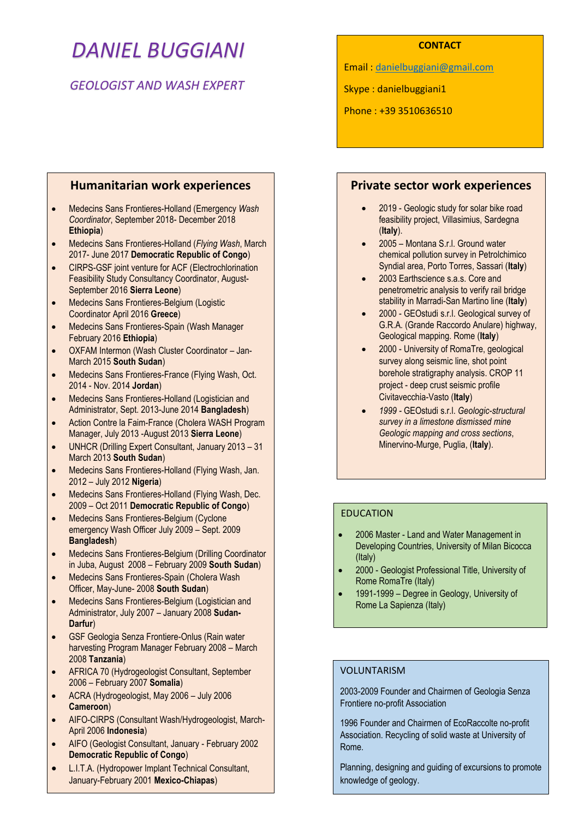# *DANIEL BUGGIANI*

# *GEOLOGIST AND WASH EXPERT*

# **Humanitarian work experiences**

- Medecins Sans Frontieres-Holland (Emergency *Wash Coordinator*, September 2018- December 2018 **Ethiopia**)
- Medecins Sans Frontieres-Holland (*Flying Wash*, March 2017- June 2017 **Democratic Republic of Congo**)
- CIRPS-GSF joint venture for ACF (Electrochlorination Feasibility Study Consultancy Coordinator, August-September 2016 **Sierra Leone**)
- Medecins Sans Frontieres-Belgium (Logistic Coordinator April 2016 **Greece**)
- Medecins Sans Frontieres-Spain (Wash Manager February 2016 **Ethiopia**)
- OXFAM Intermon (Wash Cluster Coordinator Jan-March 2015 **South Sudan**)
- Medecins Sans Frontieres-France (Flying Wash, Oct. 2014 - Nov. 2014 **Jordan**)
- Medecins Sans Frontieres-Holland (Logistician and Administrator, Sept. 2013-June 2014 **Bangladesh**)
- Action Contre la Faim-France (Cholera WASH Program Manager, July 2013 -August 2013 **Sierra Leone**)
- UNHCR (Drilling Expert Consultant, January 2013 31 March 2013 **South Sudan**)
- Medecins Sans Frontieres-Holland (Flying Wash, Jan. 2012 – July 2012 **Nigeria**)
- Medecins Sans Frontieres-Holland (Flying Wash, Dec. 2009 – Oct 2011 **Democratic Republic of Congo**)
- Medecins Sans Frontieres-Belgium (Cyclone emergency Wash Officer July 2009 – Sept. 2009 **Bangladesh**)
- Medecins Sans Frontieres-Belgium (Drilling Coordinator in Juba, August 2008 – February 2009 **South Sudan**)
- Medecins Sans Frontieres-Spain (Cholera Wash Officer, May-June- 2008 **South Sudan**)
- Medecins Sans Frontieres-Belgium (Logistician and Administrator, July 2007 – January 2008 **Sudan-Darfur**)
- GSF Geologia Senza Frontiere-Onlus (Rain water harvesting Program Manager February 2008 – March 2008 **Tanzania**)
- AFRICA 70 (Hydrogeologist Consultant, September 2006 – February 2007 **Somalia**)
- ACRA (Hydrogeologist, May 2006 July 2006 **Cameroon**)
- AIFO-CIRPS (Consultant Wash/Hydrogeologist, March-April 2006 **Indonesia**)
- AIFO (Geologist Consultant, January February 2002 **Democratic Republic of Congo**)
- L.I.T.A. (Hydropower Implant Technical Consultant, January-February 2001 **Mexico-Chiapas**)

## **CONTACT**

Email : [danielbuggiani@gmail.com](mailto:danielbuggiani@gmail.com)

Skype : danielbuggiani1

Phone : +39 3510636510

# **Private sector work experiences**

- 2019 Geologic study for solar bike road feasibility project, Villasimius, Sardegna (**Italy**).
- 2005 Montana S.r.l. Ground water chemical pollution survey in Petrolchimico Syndial area, Porto Torres, Sassari (**Italy**)
- 2003 Earthscience s.a.s. Core and penetrometric analysis to verify rail bridge stability in Marradi-San Martino line (**Italy**)
- 2000 GEOstudi s.r.l. Geological survey of G.R.A. (Grande Raccordo Anulare) highway, Geological mapping. Rome (**Italy**)
- 2000 University of RomaTre, geological survey along seismic line, shot point borehole stratigraphy analysis. CROP 11 project - deep crust seismic profile Civitavecchia-Vasto (**Italy**)
- *1999 -* GEOstudi s.r.l. *Geologic-structural survey in a limestone dismissed mine Geologic mapping and cross sections*, Minervino-Murge, Puglia, (**Italy**).

# EDUCATION

- 2006 Master Land and Water Management in Developing Countries, University of Milan Bicocca (Italy)
- 2000 Geologist Professional Title, University of Rome RomaTre (Italy)
- 1991-1999 Degree in Geology, University of Rome La Sapienza (Italy)

## VOLUNTARISM

2003-2009 Founder and Chairmen of Geologia Senza Frontiere no-profit Association

1996 Founder and Chairmen of EcoRaccolte no-profit Association. Recycling of solid waste at University of Rome.

Planning, designing and guiding of excursions to promote knowledge of geology.